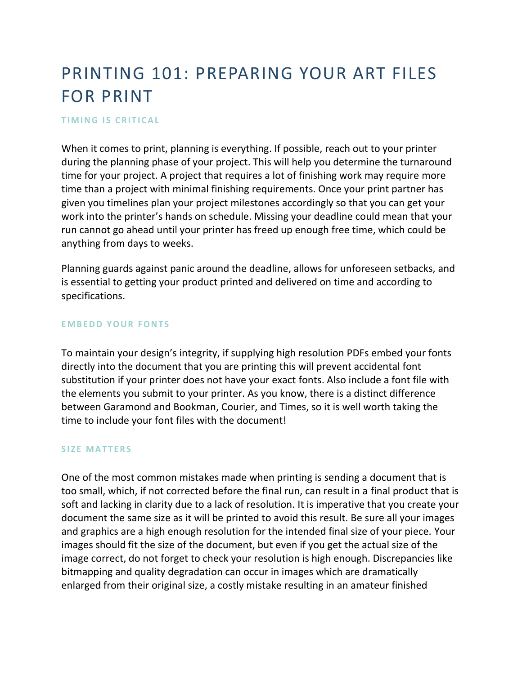# PRINTING 101: PREPARING YOUR ART FILES FOR PRINT

#### **TIMING IS CRITICAL**

When it comes to print, planning is everything. If possible, reach out to your printer during the planning phase of your project. This will help you determine the turnaround time for your project. A project that requires a lot of finishing work may require more time than a project with minimal finishing requirements. Once your print partner has given you timelines [plan your project milestones](https://millo.co/set-milestones-and-eliminate-stress-in-the-design-process) accordingly so that you can get your work into the printer's hands on schedule. Missing your deadline could mean that your run cannot go ahead until your printer has freed up enough free time, which could be anything from days to weeks.

Planning guards against panic around the deadline, allows for unforeseen setbacks, and is essential to getting your product printed and delivered on time and according to specifications.

#### **EMBEDD YOUR FONTS**

To maintain your design's integrity, if supplying high resolution PDFs embed your fonts directly into the document that you are printing this will prevent accidental font substitution if your printer does not have your exact fonts. Also include a font file with the elements you submit to your printer. As you know, there is a distinct difference between Garamond and Bookman, Courier, and Times, so it is well worth taking the time to include your font files with the document!

### **SIZE MATTERS**

One of the most common mistakes made when printing is sending a document that is too small, which, if not corrected before the final run, can result in a final product that is soft and lacking in clarity due to a lack of resolution. It is imperative that you create your document the same size as it will be printed to avoid this result. Be sure all your images and graphics are a high enough resolution for the intended final size of your piece. Your images should fit the size of the document, but even if you get the actual size of the image correct, do not forget to check your resolution is high enough. Discrepancies like bitmapping and quality degradation can occur in images which are dramatically enlarged from their original size, a costly mistake resulting in an amateur finished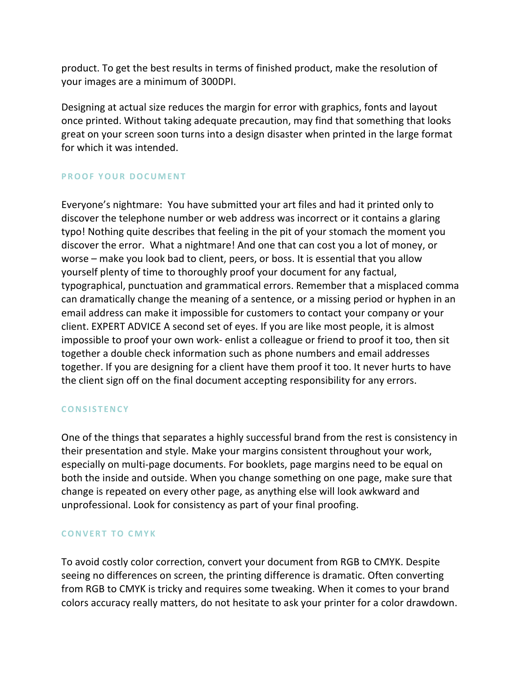product. To get the best results in terms of finished product, make the resolution of your images are a minimum of 300DPI.

Designing at actual size reduces the margin for error with graphics, fonts and layout once printed. Without taking adequate precaution, may find that something that looks great on your screen soon turns into a design disaster when printed in the large format for which it was intended.

# **PROOF YOUR DOCUMENT**

Everyone's nightmare: You have submitted your art files and had it printed only to discover the telephone number or web address was incorrect or it contains a glaring typo! Nothing quite describes that feeling in the pit of your stomach the moment you discover the error. What a nightmare! And one that can cost you a lot of money, or worse – make you look bad to client, peers, or boss. It is essential that you allow yourself plenty of time to thoroughly proof your document for any factual, typographical, punctuation and grammatical errors. Remember that a misplaced comma can dramatically change the meaning of a sentence, or a missing period or hyphen in an email address can make it impossible for customers to contact your company or your client. EXPERT ADVICE A second set of eyes. If you are like most people, it is almost impossible to proof your own work- enlist a colleague or friend to proof it too, then sit together a double check information such as phone numbers and email addresses together. If you are designing for a client have them proof it too. It never hurts to have the client sign off on the final document accepting responsibility for any errors.

# **C O N S I S T E N C Y**

One of the things that separates a highly successful brand from the rest is consistency in their presentation and style. Make your margins consistent throughout your work, especially on multi-page documents. For booklets, page margins need to be equal on both the inside and outside. When you change something on one page, make sure that change is repeated on every other page, as anything else will look awkward and unprofessional. Look for consistency as part of your final proofing.

# **CONVERT TO CMYK**

To avoid costly color correction, convert your document from RGB to CMYK. Despite seeing no differences on screen, the printing difference is dramatic. Often converting from RGB to CMYK is tricky and requires some tweaking. When it comes to your brand colors accuracy really matters, do not hesitate to ask your printer for a color drawdown.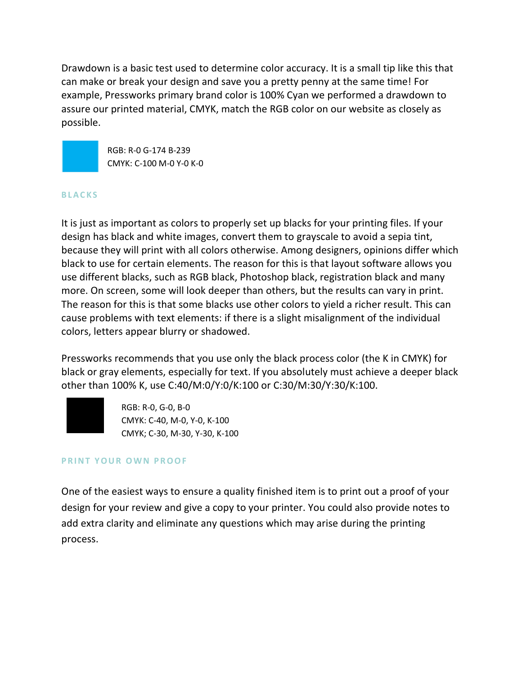Drawdown is a basic test used to determine color accuracy. It is a small tip like this that can make or break your design and save you a pretty penny at the same time! For example, Pressworks primary brand color is 100% Cyan we performed a drawdown to assure our printed material, CMYK, match the RGB color on our website as closely as possible.



RGB: R-0 G-174 B-239 CMYK: C-100 M-0 Y-0 K-0

### **B L A C K S**

It is just as important as colors to properly set up blacks for your printing files. If your design has black and white images, convert them to grayscale to avoid a sepia tint, because they will print with all colors otherwise. Among designers, opinions differ which black to use for certain elements. The reason for this is that layout software allows you use different blacks, such as RGB black, Photoshop black, registration black and many more. On screen, some will look deeper than others, but the results can vary in print. The reason for this is that some blacks use other colors to yield a richer result. This can cause problems with text elements: if there is a slight misalignment of the individual colors, letters appear blurry or shadowed.

Pressworks recommends that you use only the black process color (the K in CMYK) for black or gray elements, especially for text. If you absolutely must achieve a deeper black other than 100% K, use C:40/M:0/Y:0/K:100 or C:30/M:30/Y:30/K:100.



RGB: R-0, G-0, B-0 CMYK: C-40, M-0, Y-0, K-100 CMYK; C-30, M-30, Y-30, K-100

# **PRINT YOUR OWN PROOF**

One of the easiest ways to ensure a quality finished item is to print out a proof of your design for your review and give a copy to your printer. You could also provide notes to add extra clarity and eliminate any questions which may arise during the printing process.